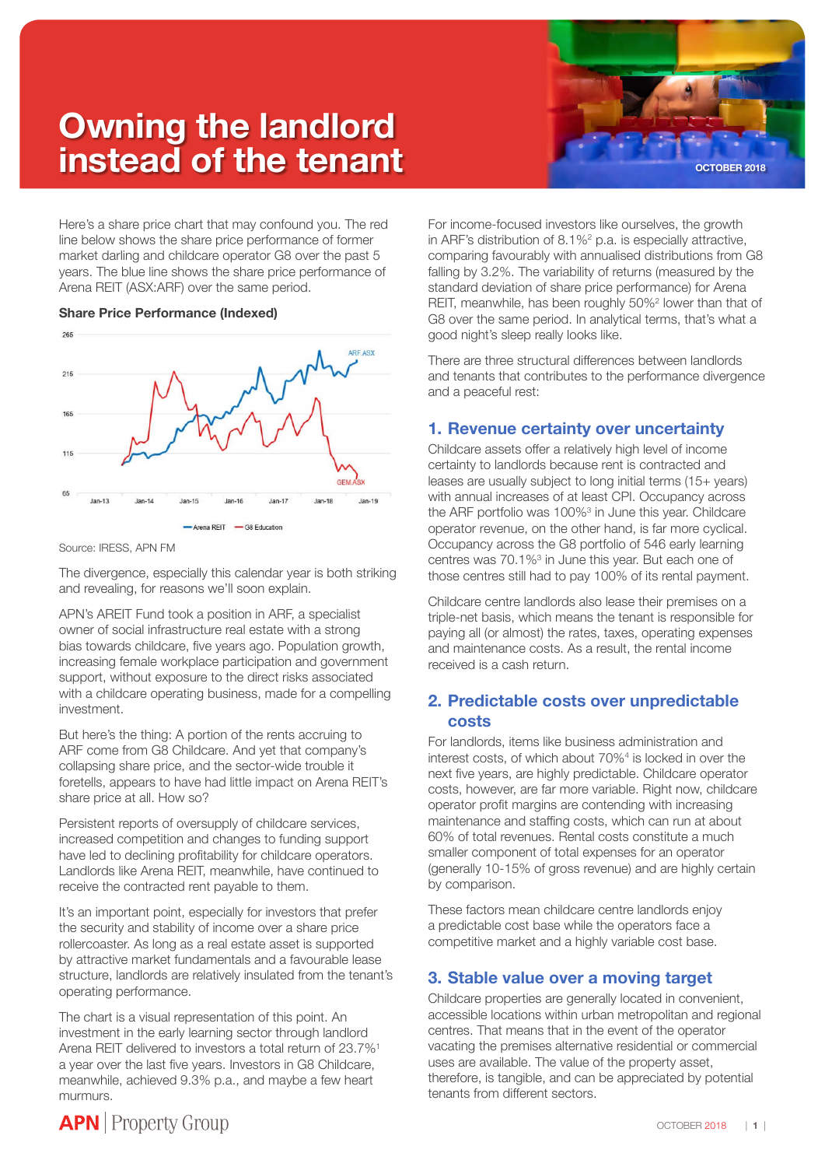# **Owning the landlord instead of the tenant** *CCTOBER 2018*



Here's a share price chart that may confound you. The red line below shows the share price performance of former market darling and childcare operator G8 over the past 5 years. The blue line shows the share price performance of Arena REIT (ASX:ARF) over the same period.

#### **Share Price Performance (Indexed)**



Source: IRESS, APN FM

The divergence, especially this calendar year is both striking and revealing, for reasons we'll soon explain.

APN's AREIT Fund took a position in ARF, a specialist owner of social infrastructure real estate with a strong bias towards childcare, five years ago. Population growth, increasing female workplace participation and government support, without exposure to the direct risks associated with a childcare operating business, made for a compelling investment.

But here's the thing: A portion of the rents accruing to ARF come from G8 Childcare. And yet that company's collapsing share price, and the sector-wide trouble it foretells, appears to have had little impact on Arena REIT's share price at all. How so?

Persistent reports of oversupply of childcare services, increased competition and changes to funding support have led to declining profitability for childcare operators. Landlords like Arena REIT, meanwhile, have continued to receive the contracted rent payable to them.

It's an important point, especially for investors that prefer the security and stability of income over a share price rollercoaster. As long as a real estate asset is supported by attractive market fundamentals and a favourable lease structure, landlords are relatively insulated from the tenant's operating performance.

The chart is a visual representation of this point. An investment in the early learning sector through landlord Arena REIT delivered to investors a total return of 23.7%<sup>1</sup> a year over the last five years. Investors in G8 Childcare, meanwhile, achieved 9.3% p.a., and maybe a few heart murmurs.

For income-focused investors like ourselves, the growth in ARF's distribution of  $8.1\%^2$  p.a. is especially attractive, comparing favourably with annualised distributions from G8 falling by 3.2%. The variability of returns (measured by the standard deviation of share price performance) for Arena REIT, meanwhile, has been roughly 50%<sup>2</sup> lower than that of G8 over the same period. In analytical terms, that's what a good night's sleep really looks like.

There are three structural differences between landlords and tenants that contributes to the performance divergence and a peaceful rest:

## **1. Revenue certainty over uncertainty**

Childcare assets offer a relatively high level of income certainty to landlords because rent is contracted and leases are usually subject to long initial terms (15+ years) with annual increases of at least CPI. Occupancy across the ARF portfolio was 100%<sup>3</sup> in June this year. Childcare operator revenue, on the other hand, is far more cyclical. Occupancy across the G8 portfolio of 546 early learning centres was 70.1%<sup>3</sup> in June this year. But each one of those centres still had to pay 100% of its rental payment.

Childcare centre landlords also lease their premises on a triple-net basis, which means the tenant is responsible for paying all (or almost) the rates, taxes, operating expenses and maintenance costs. As a result, the rental income received is a cash return.

## **2. Predictable costs over unpredictable costs**

For landlords, items like business administration and interest costs, of which about 70%4 is locked in over the next five years, are highly predictable. Childcare operator costs, however, are far more variable. Right now, childcare operator profit margins are contending with increasing maintenance and staffing costs, which can run at about 60% of total revenues. Rental costs constitute a much smaller component of total expenses for an operator (generally 10-15% of gross revenue) and are highly certain by comparison.

These factors mean childcare centre landlords enjoy a predictable cost base while the operators face a competitive market and a highly variable cost base.

## **3. Stable value over a moving target**

Childcare properties are generally located in convenient, accessible locations within urban metropolitan and regional centres. That means that in the event of the operator vacating the premises alternative residential or commercial uses are available. The value of the property asset, therefore, is tangible, and can be appreciated by potential tenants from different sectors.